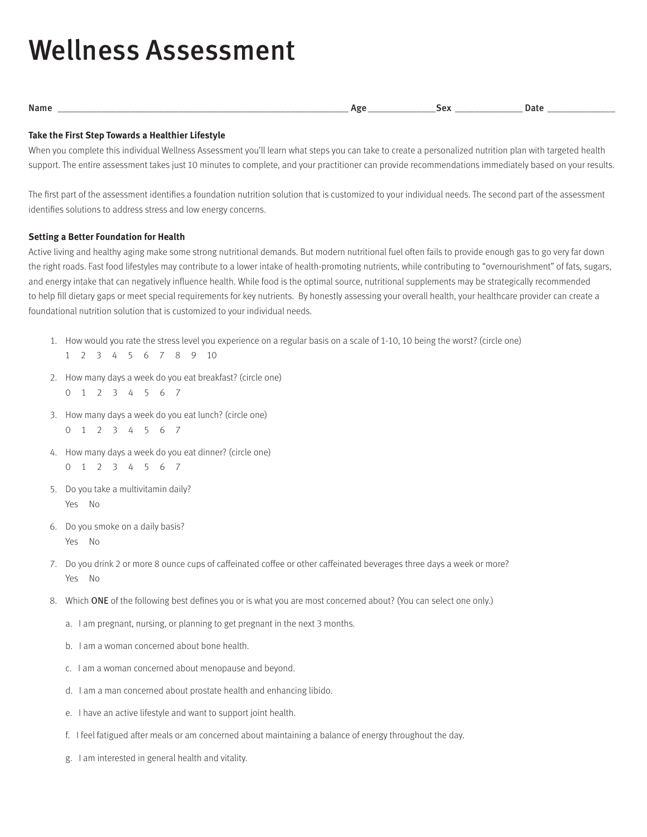# Wellness Assessment

## **Take the First Step Towards a Healthier Lifestyle**

When you complete this individual Wellness Assessment you'll learn what steps you can take to create a personalized nutrition plan with targeted health support. The entire assessment takes just 10 minutes to complete, and your practitioner can provide recommendations immediately based on your results.

The first part of the assessment identifies a foundation nutrition solution that is customized to your individual needs. The second part of the assessment identifies solutions to address stress and low energy concerns.

## **Setting a Better Foundation for Health**

Active living and healthy aging make some strong nutritional demands. But modern nutritional fuel often fails to provide enough gas to go very far down the right roads. Fast food lifestyles may contribute to a lower intake of health-promoting nutrients, while contributing to "overnourishment" of fats, sugars, and energy intake that can negatively influence health. While food is the optimal source, nutritional supplements may be strategically recommended to help fill dietary gaps or meet special requirements for key nutrients. By honestly assessing your overall health, your healthcare provider can create a foundational nutrition solution that is customized to your individual needs.

- 1. How would you rate the stress level you experience on a regular basis on a scale of 1-10, 10 being the worst? (circle one) 1 2 3 4 5 6 7 8 9 10
- 2. How many days a week do you eat breakfast? (circle one) 0 1 2 3 4 5 6 7
- 3. How many days a week do you eat lunch? (circle one) 0 1 2 3 4 5 6 7
- 4. How many days a week do you eat dinner? (circle one) 0 1 2 3 4 5 6 7
- 5. Do you take a multivitamin daily? Yes No
- 6. Do you smoke on a daily basis? Yes No
- 7. Do you drink 2 or more 8 ounce cups of caffeinated coffee or other caffeinated beverages three days a week or more? Yes No
- 8. Which ONE of the following best defines you or is what you are most concerned about? (You can select one only.)
	- a. I am pregnant, nursing, or planning to get pregnant in the next 3 months.
	- b. I am a woman concerned about bone health.
	- c. I am a woman concerned about menopause and beyond.
	- d. I am a man concerned about prostate health and enhancing libido.
	- e. I have an active lifestyle and want to support joint health.
	- f. I feel fatigued after meals or am concerned about maintaining a balance of energy throughout the day.
	- g. I am interested in general health and vitality.